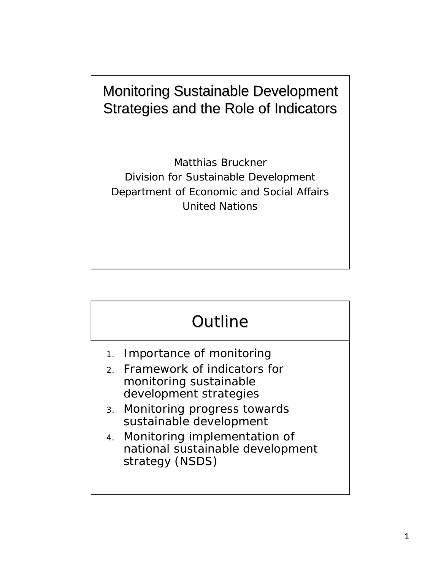#### Monitoring Sustainable Development Strategies and the Role of Indicators

Matthias Bruckner Division for Sustainable Development Department of Economic and Social Affairs United Nations

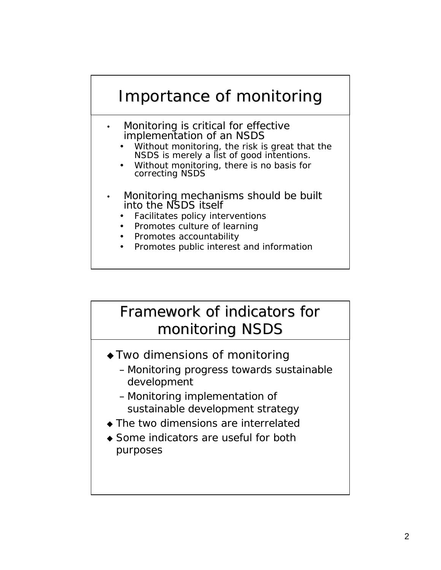

## Framework of indicators for monitoring NSDS

- $\triangle$  Two dimensions of monitoring
	- Monitoring progress towards sustainable development
	- Monitoring implementation of sustainable development strategy
- $\bullet$  The two dimensions are interrelated
- $\bullet$  Some indicators are useful for both purposes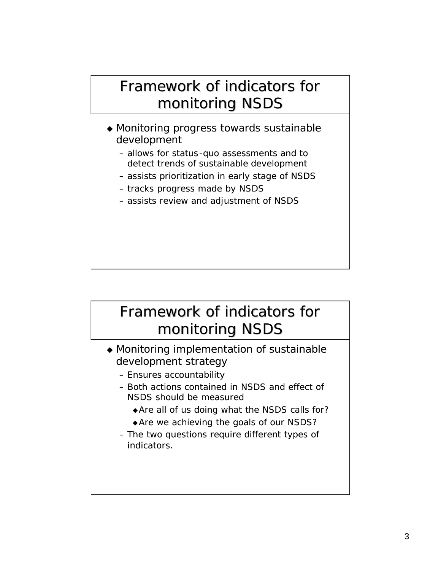## Framework of indicators for monitoring NSDS

- $\triangle$  Monitoring progress towards sustainable development
	- allows for status-quo assessments and to detect trends of sustainable development
	- assists prioritization in early stage of NSDS
	- tracks progress made by NSDS
	- assists review and adjustment of NSDS

## Framework of indicators for monitoring NSDS

- $\triangle$  Monitoring implementation of sustainable development strategy
	- Ensures accountability
	- Both actions contained in NSDS and effect of NSDS should be measured
		- $\triangle$  Are all of us doing what the NSDS calls for?
		- $\triangle$  Are we achieving the goals of our NSDS?
	- The two questions require different types of indicators.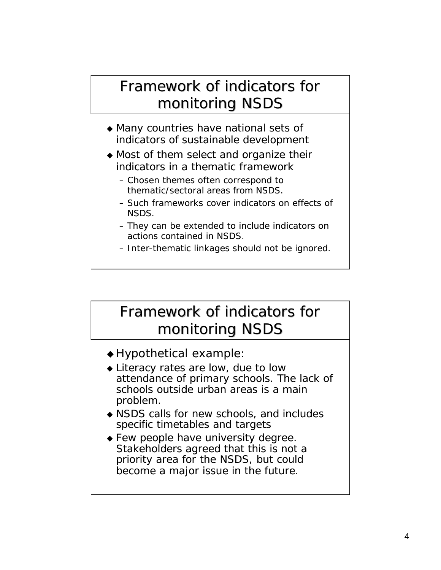## Framework of indicators for monitoring NSDS

- $\triangle$  Many countries have national sets of indicators of sustainable development
- $\triangle$  Most of them select and organize their indicators in a thematic framework
	- Chosen themes often correspond to thematic/sectoral areas from NSDS.
	- Such frameworks cover indicators on effects of NSDS.
	- They can be extended to include indicators on actions contained in NSDS.
	- Inter-thematic linkages should not be ignored.

## Framework of indicators for monitoring NSDS

- $\triangle$  Hypothetical example:
- $\bullet$  Literacy rates are low, due to low attendance of primary schools. The lack of schools outside urban areas is a main problem.
- $\triangle$  NSDS calls for new schools, and includes specific timetables and targets
- $\bullet$  Few people have university degree. Stakeholders agreed that this is not a priority area for the NSDS, but could become a major issue in the future.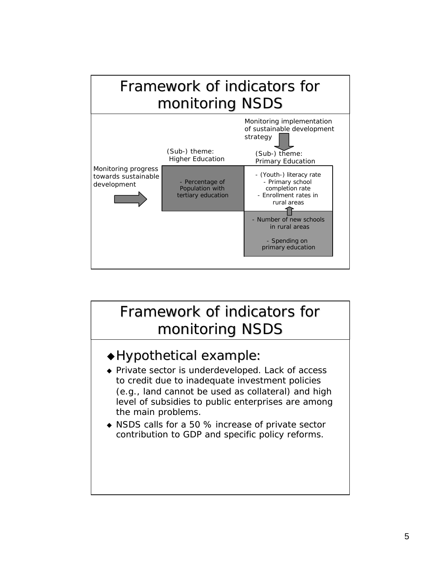

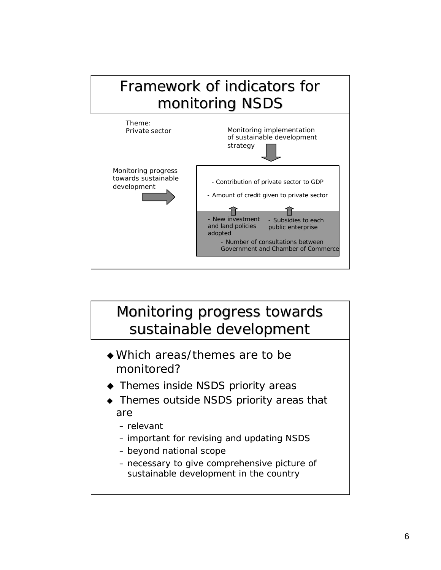

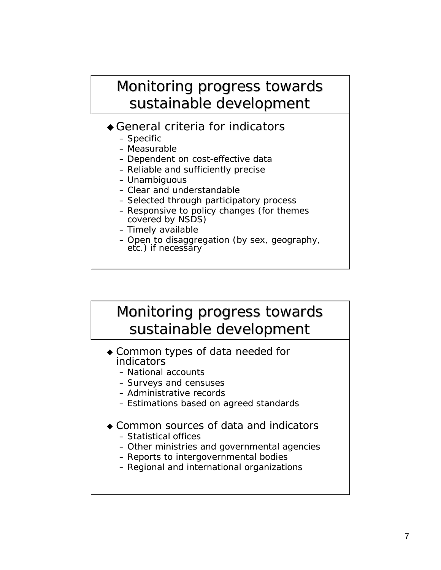#### Monitoring progress towards sustainable development

- $\triangle$  General criteria for indicators
	- Specific
	- Measurable
	- Dependent on cost-effective data
	- Reliable and sufficiently precise
	- Unambiguous
	- Clear and understandable
	- Selected through participatory process
	- Responsive to policy changes (for themes covered by NSDS)
	- Timely available
	- Open to disaggregation (by sex, geography, etc.) if necessary

### Monitoring progress towards sustainable development

- $\bullet$  Common types of data needed for indicators
	- National accounts
	- Surveys and censuses
	- Administrative records
	- Estimations based on agreed standards
- ◆ Common sources of data and indicators
	- Statistical offices
	- Other ministries and governmental agencies
	- Reports to intergovernmental bodies
	- Regional and international organizations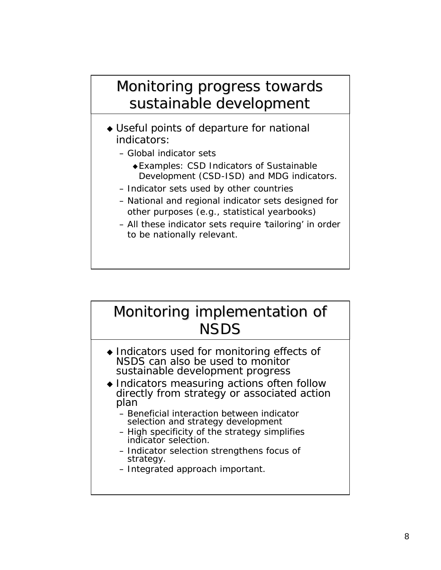#### Monitoring progress towards sustainable development

- $\triangleleft$  Useful points of departure for national indicators:
	- Global indicator sets
		- <sup>u</sup>Examples: CSD Indicators of Sustainable Development (CSD-ISD) and MDG indicators.
	- Indicator sets used by other countries
	- National and regional indicator sets designed for other purposes (e.g., statistical yearbooks)
	- All these indicator sets require 'tailoring' in order to be nationally relevant.

## Monitoring implementation of **NSDS**

- $\bullet$  Indicators used for monitoring effects of NSDS can also be used to monitor sustainable development progress
- Indicators measuring actions often follow directly from strategy or associated action plan
	- Beneficial interaction between indicator selection and strategy development
	- High specificity of the strategy simplifies indicator selection.
	- Indicator selection strengthens focus of strategy.
	- Integrated approach important.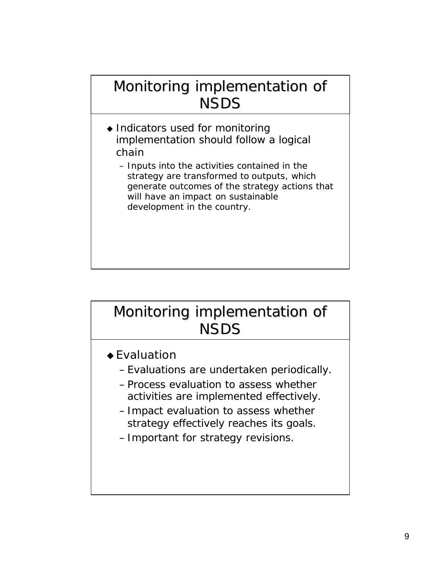## Monitoring implementation of NSDS

- $\triangleleft$  Indicators used for monitoring implementation should follow a logical chain
	- *Inputs* into the activities contained in the strategy are transformed to *outputs*, which generate *outcomes* of the strategy actions that will have an *impact* on sustainable development in the country.

## Monitoring implementation of **NSDS**

- $\triangle$  Evaluation
	- –Evaluations are undertaken periodically.
	- –Process evaluation to assess whether activities are implemented effectively.
	- –Impact evaluation to assess whether strategy effectively reaches its goals.
	- –Important for strategy revisions.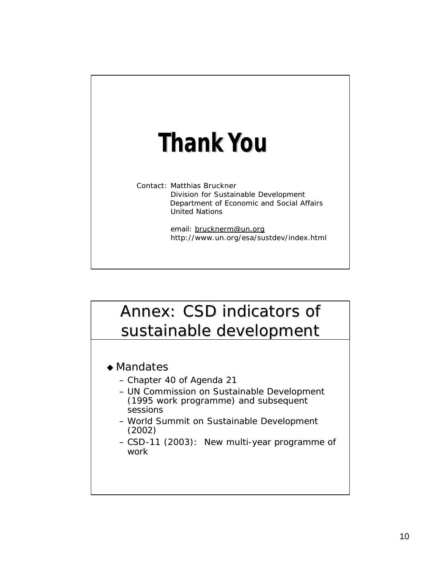# **Thank You**

Contact: Matthias Bruckner Division for Sustainable Development Department of Economic and Social Affairs United Nations

> email: brucknerm@un.org http://www.un.org/esa/sustdev/index.html

## Annex: CSD indicators of sustainable development

- $\triangle$  Mandates
	- Chapter 40 of Agenda 21
	- UN Commission on Sustainable Development (1995 work programme) and subsequent sessions
	- World Summit on Sustainable Development (2002)
	- CSD-11 (2003): New multi-year programme of work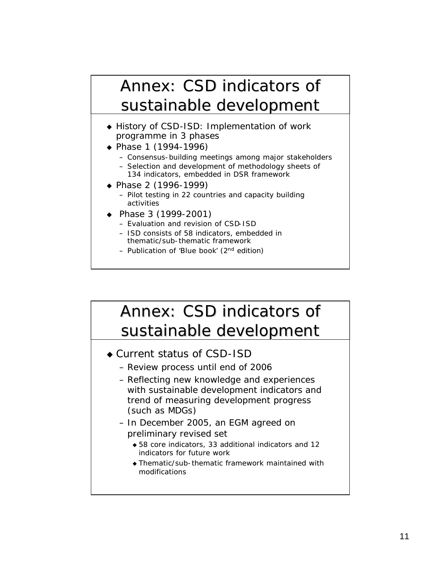## Annex: CSD indicators of sustainable development

- ◆ History of CSD-ISD: Implementation of work programme in 3 phases
- $\bullet$  Phase 1 (1994-1996)
	- Consensus-building meetings among major stakeholders
	- Selection and development of methodology sheets of 134 indicators, embedded in DSR framework
- ▶ Phase 2 (1996-1999)
	- Pilot testing in 22 countries and capacity building activities
- Phase 3  $(1999-2001)$ 
	- Evaluation and revision of CSD-ISD
	- ISD consists of 58 indicators, embedded in thematic/sub-thematic framework
	- Publication of 'Blue book' (2<sup>nd</sup> edition)

## Annex: CSD indicators of sustainable development

- Current status of CSD-ISD
	- Review process until end of 2006
	- Reflecting new knowledge and experiences with sustainable development indicators and trend of measuring development progress (such as MDGs)
	- In December 2005, an EGM agreed on preliminary revised set
		- $\triangle$  58 core indicators, 33 additional indicators and 12 indicators for future work
		- $\bullet$  Thematic/sub-thematic framework maintained with modifications